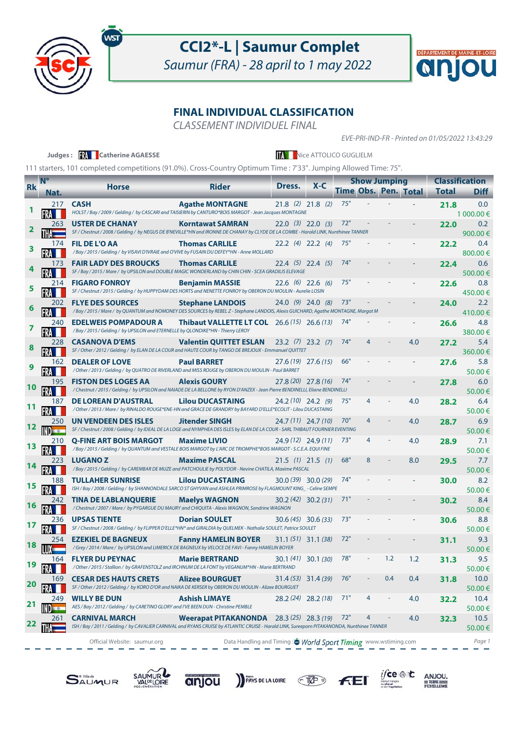

ws

## **CCI2\*-L | Saumur Complet**

Saumur (FRA) - 28 april to 1 may 2022



### **FINAL INDIVIDUAL CLASSIFICATION**

CLASSEMENT INDIVIDUEL FINAL

EVE-PRI-IND-FR - Printed on 01/05/2022 13:43:29

| 111 starters, 101 completed competitions (91.0%). Cross-Country Optimum Time : 7'33". Jumping Allowed Time: 75".<br><b>N°</b><br><b>Classification</b><br><b>Show Jumping</b><br>$X - C$<br>Dress.<br><b>Rider</b><br><b>Horse</b><br><b>Rk</b><br>Time Obs. Pen. Total<br><b>Total</b><br>Nat.<br>$21.8$ (2) $21.8$ (2)<br>75"<br><b>CASH</b><br><b>Agathe MONTAGNE</b><br>217<br>21.8<br>HOLST / Bay / 2009 / Gelding / by CASCARI and TAISIERIN by CANTURO*BOIS MARGOT - Jean Jacques MONTAGNE<br><b>USTER DE CHANAY</b><br><b>Korntawat SAMRAN</b><br>$22.0$ (3) $22.0$ (3)<br>72"<br>263<br>22.0<br>SF / Chestnut / 2008 / Gelding / by NEGUS DE B'NEVILLE*HN and IRONNE DE CHANAY by CLYDE DE LA COMBE - Harald LINK, Nunthinee TANNER<br>900.00€<br>75"<br>$22.2$ (4) $22.2$ (4)<br>174<br><b>FIL DE L'O AA</b><br><b>Thomas CARLILE</b><br>22.2<br>/Bay / 2015 / Gelding / by VISAVI D'IVRAIE and O'VIVE by FUSAIN DU DEFEY*HN - Anne MOLLARD<br><b>Thomas CARLILE</b><br>74"<br><b>FAIR LADY DES BROUCKS</b><br>$22.4$ (5) 22.4 (5)<br>22.4<br>173<br>SF / Bay / 2015 / Mare / by UPSILON and DOUBLE MAGIC WONDERLAND by CHIN CHIN - SCEA GRADILIS ELEVAGE<br>75"<br><b>FIGARO FONROY</b><br><b>Benjamin MASSIE</b><br>$22.6$ (6) 22.6 (6)<br>214 -<br>22.6<br>SF / Chestnut / 2015 / Gelding / by HUPPYDAM DES HORTS and NENETTE FONROY by OBERON DU MOULIN - Aurelie LOSIN<br>73"<br><b>FLYE DES SOURCES</b><br><b>Stephane LANDOIS</b><br>$24.0$ (9) 24.0 (8)<br>202<br>24.0<br>/ Bay / 2015 / Mare / by QUANTUM and NOMONEY DES SOURCES by REBEL Z - Stephane LANDOIS, Alexis GUICHARD, Agathe MONTAGNE, Margot M<br><b>EDELWEIS POMPADOUR A</b><br><b>Thibaut VALLETTE LT COL</b> 26.6 (15) 26.6 (13)<br>240<br>74"<br>26.6<br>/ Bay / 2015 / Gelding / by UPSILON and ETERNELLE by QLONDIKE*HN - Thierry LEROY<br>380.00€<br>74"<br><b>CASANOVA D'EMS</b><br><b>Valentin QUITTET ESLAN</b><br>4.0<br>$23.2$ (7) $23.2$ (7)<br>27.2<br>228.<br>SF / Other / 2012 / Gelding / by ELAN DE LA COUR and HAUTE COUR by TANGO DE BREJOUX - Emmanuel QUITTET<br>66"<br><b>DEALER OF LOVE</b><br><b>Paul BARRET</b><br>$27.6(19)$ 27.6 (15)<br>27.6<br>162<br>/ Other / 2013 / Gelding / by QUATRO DE RIVERLAND and MISS ROUGE by OBERON DU MOULIN - Paul BARRET<br>27.8 (20) 27.8 (16)<br>74"<br><b>FISTON DES LOGES AA</b><br><b>Alexis GOURY</b><br>195<br>27.8<br>/ Chestnut / 2015 / Gelding / by UPSILON and NAIADE DE LA BELLONE by RYON D'ANZEX - Jean Pierre BENDINELLI, Eliane BENDINELLI<br>75"<br><b>DE LOREAN D'AUSTRAL</b><br><b>Lilou DUCASTAING</b><br>$24.2(10)$ 24.2 (9)<br>4<br>187<br>4.0<br>28.2<br>/ Other / 2013 / Mare / by RINALDO ROUGE*ENE-HN and GRACE DE GRANDRY by BAYARD D'ELLE*ECOLIT - Lilou DUCASTAING<br>70"<br><b>Jitender SINGH</b><br>4<br>4.0<br>250<br>UN VENDEEN DES ISLES<br>24.7 (11) 24.7 (10)<br>28.7<br>SF / Chestnut / 2008 / Gelding / by IDEAL DE LA LOGE and NYMPHEA DES ISLES by ELAN DE LA COUR - SARL THIBAUT FOURNIER EVENTING<br>50.00€<br><b>Q-FINE ART BOIS MARGOT</b><br><b>Maxime LIVIO</b><br>73"<br>4<br>$24.9(12)$ 24.9 (11)<br>4.0<br>28.9<br>210<br>/Bay / 2015 / Gelding / by QUANTUM and VESTALE BOIS MARGOT by L'ARC DE TRIOMPHE*BOIS MARGOT - S.C.E.A. EQUI FINE<br>$21.5$ (1) $21.5$ (1)<br>223. | Judges: <b>We Catherine AGAESSE</b> |                      | Nice ATTOLICO GUGLIELM |     |  |     |      |                |
|-----------------------------------------------------------------------------------------------------------------------------------------------------------------------------------------------------------------------------------------------------------------------------------------------------------------------------------------------------------------------------------------------------------------------------------------------------------------------------------------------------------------------------------------------------------------------------------------------------------------------------------------------------------------------------------------------------------------------------------------------------------------------------------------------------------------------------------------------------------------------------------------------------------------------------------------------------------------------------------------------------------------------------------------------------------------------------------------------------------------------------------------------------------------------------------------------------------------------------------------------------------------------------------------------------------------------------------------------------------------------------------------------------------------------------------------------------------------------------------------------------------------------------------------------------------------------------------------------------------------------------------------------------------------------------------------------------------------------------------------------------------------------------------------------------------------------------------------------------------------------------------------------------------------------------------------------------------------------------------------------------------------------------------------------------------------------------------------------------------------------------------------------------------------------------------------------------------------------------------------------------------------------------------------------------------------------------------------------------------------------------------------------------------------------------------------------------------------------------------------------------------------------------------------------------------------------------------------------------------------------------------------------------------------------------------------------------------------------------------------------------------------------------------------------------------------------------------------------------------------------------------------------------------------------------------------------------------------------------------------------------------------------------------------------------------------------------------------------------------------------------------------------------------------------------------------------------------------------------------------------------------------------------|-------------------------------------|----------------------|------------------------|-----|--|-----|------|----------------|
|                                                                                                                                                                                                                                                                                                                                                                                                                                                                                                                                                                                                                                                                                                                                                                                                                                                                                                                                                                                                                                                                                                                                                                                                                                                                                                                                                                                                                                                                                                                                                                                                                                                                                                                                                                                                                                                                                                                                                                                                                                                                                                                                                                                                                                                                                                                                                                                                                                                                                                                                                                                                                                                                                                                                                                                                                                                                                                                                                                                                                                                                                                                                                                                                                                                                             |                                     |                      |                        |     |  |     |      |                |
|                                                                                                                                                                                                                                                                                                                                                                                                                                                                                                                                                                                                                                                                                                                                                                                                                                                                                                                                                                                                                                                                                                                                                                                                                                                                                                                                                                                                                                                                                                                                                                                                                                                                                                                                                                                                                                                                                                                                                                                                                                                                                                                                                                                                                                                                                                                                                                                                                                                                                                                                                                                                                                                                                                                                                                                                                                                                                                                                                                                                                                                                                                                                                                                                                                                                             |                                     |                      |                        |     |  |     |      |                |
|                                                                                                                                                                                                                                                                                                                                                                                                                                                                                                                                                                                                                                                                                                                                                                                                                                                                                                                                                                                                                                                                                                                                                                                                                                                                                                                                                                                                                                                                                                                                                                                                                                                                                                                                                                                                                                                                                                                                                                                                                                                                                                                                                                                                                                                                                                                                                                                                                                                                                                                                                                                                                                                                                                                                                                                                                                                                                                                                                                                                                                                                                                                                                                                                                                                                             |                                     |                      |                        |     |  |     |      | <b>Diff</b>    |
|                                                                                                                                                                                                                                                                                                                                                                                                                                                                                                                                                                                                                                                                                                                                                                                                                                                                                                                                                                                                                                                                                                                                                                                                                                                                                                                                                                                                                                                                                                                                                                                                                                                                                                                                                                                                                                                                                                                                                                                                                                                                                                                                                                                                                                                                                                                                                                                                                                                                                                                                                                                                                                                                                                                                                                                                                                                                                                                                                                                                                                                                                                                                                                                                                                                                             |                                     |                      |                        |     |  |     |      | 0.0            |
|                                                                                                                                                                                                                                                                                                                                                                                                                                                                                                                                                                                                                                                                                                                                                                                                                                                                                                                                                                                                                                                                                                                                                                                                                                                                                                                                                                                                                                                                                                                                                                                                                                                                                                                                                                                                                                                                                                                                                                                                                                                                                                                                                                                                                                                                                                                                                                                                                                                                                                                                                                                                                                                                                                                                                                                                                                                                                                                                                                                                                                                                                                                                                                                                                                                                             |                                     |                      |                        |     |  |     |      | 1 000.00 €     |
|                                                                                                                                                                                                                                                                                                                                                                                                                                                                                                                                                                                                                                                                                                                                                                                                                                                                                                                                                                                                                                                                                                                                                                                                                                                                                                                                                                                                                                                                                                                                                                                                                                                                                                                                                                                                                                                                                                                                                                                                                                                                                                                                                                                                                                                                                                                                                                                                                                                                                                                                                                                                                                                                                                                                                                                                                                                                                                                                                                                                                                                                                                                                                                                                                                                                             |                                     |                      |                        |     |  |     |      | 0.2            |
|                                                                                                                                                                                                                                                                                                                                                                                                                                                                                                                                                                                                                                                                                                                                                                                                                                                                                                                                                                                                                                                                                                                                                                                                                                                                                                                                                                                                                                                                                                                                                                                                                                                                                                                                                                                                                                                                                                                                                                                                                                                                                                                                                                                                                                                                                                                                                                                                                                                                                                                                                                                                                                                                                                                                                                                                                                                                                                                                                                                                                                                                                                                                                                                                                                                                             |                                     |                      |                        |     |  |     |      | 0.4            |
|                                                                                                                                                                                                                                                                                                                                                                                                                                                                                                                                                                                                                                                                                                                                                                                                                                                                                                                                                                                                                                                                                                                                                                                                                                                                                                                                                                                                                                                                                                                                                                                                                                                                                                                                                                                                                                                                                                                                                                                                                                                                                                                                                                                                                                                                                                                                                                                                                                                                                                                                                                                                                                                                                                                                                                                                                                                                                                                                                                                                                                                                                                                                                                                                                                                                             |                                     |                      |                        |     |  |     |      | 800.00€        |
|                                                                                                                                                                                                                                                                                                                                                                                                                                                                                                                                                                                                                                                                                                                                                                                                                                                                                                                                                                                                                                                                                                                                                                                                                                                                                                                                                                                                                                                                                                                                                                                                                                                                                                                                                                                                                                                                                                                                                                                                                                                                                                                                                                                                                                                                                                                                                                                                                                                                                                                                                                                                                                                                                                                                                                                                                                                                                                                                                                                                                                                                                                                                                                                                                                                                             |                                     |                      |                        |     |  |     |      | 0.6            |
|                                                                                                                                                                                                                                                                                                                                                                                                                                                                                                                                                                                                                                                                                                                                                                                                                                                                                                                                                                                                                                                                                                                                                                                                                                                                                                                                                                                                                                                                                                                                                                                                                                                                                                                                                                                                                                                                                                                                                                                                                                                                                                                                                                                                                                                                                                                                                                                                                                                                                                                                                                                                                                                                                                                                                                                                                                                                                                                                                                                                                                                                                                                                                                                                                                                                             |                                     |                      |                        |     |  |     |      | 500.00€        |
|                                                                                                                                                                                                                                                                                                                                                                                                                                                                                                                                                                                                                                                                                                                                                                                                                                                                                                                                                                                                                                                                                                                                                                                                                                                                                                                                                                                                                                                                                                                                                                                                                                                                                                                                                                                                                                                                                                                                                                                                                                                                                                                                                                                                                                                                                                                                                                                                                                                                                                                                                                                                                                                                                                                                                                                                                                                                                                                                                                                                                                                                                                                                                                                                                                                                             |                                     |                      |                        |     |  |     |      | 0.8            |
|                                                                                                                                                                                                                                                                                                                                                                                                                                                                                                                                                                                                                                                                                                                                                                                                                                                                                                                                                                                                                                                                                                                                                                                                                                                                                                                                                                                                                                                                                                                                                                                                                                                                                                                                                                                                                                                                                                                                                                                                                                                                                                                                                                                                                                                                                                                                                                                                                                                                                                                                                                                                                                                                                                                                                                                                                                                                                                                                                                                                                                                                                                                                                                                                                                                                             |                                     |                      |                        |     |  |     |      | 450.00€        |
|                                                                                                                                                                                                                                                                                                                                                                                                                                                                                                                                                                                                                                                                                                                                                                                                                                                                                                                                                                                                                                                                                                                                                                                                                                                                                                                                                                                                                                                                                                                                                                                                                                                                                                                                                                                                                                                                                                                                                                                                                                                                                                                                                                                                                                                                                                                                                                                                                                                                                                                                                                                                                                                                                                                                                                                                                                                                                                                                                                                                                                                                                                                                                                                                                                                                             |                                     |                      |                        |     |  |     |      | 2.2            |
|                                                                                                                                                                                                                                                                                                                                                                                                                                                                                                                                                                                                                                                                                                                                                                                                                                                                                                                                                                                                                                                                                                                                                                                                                                                                                                                                                                                                                                                                                                                                                                                                                                                                                                                                                                                                                                                                                                                                                                                                                                                                                                                                                                                                                                                                                                                                                                                                                                                                                                                                                                                                                                                                                                                                                                                                                                                                                                                                                                                                                                                                                                                                                                                                                                                                             |                                     |                      |                        |     |  |     |      | 410.00€        |
|                                                                                                                                                                                                                                                                                                                                                                                                                                                                                                                                                                                                                                                                                                                                                                                                                                                                                                                                                                                                                                                                                                                                                                                                                                                                                                                                                                                                                                                                                                                                                                                                                                                                                                                                                                                                                                                                                                                                                                                                                                                                                                                                                                                                                                                                                                                                                                                                                                                                                                                                                                                                                                                                                                                                                                                                                                                                                                                                                                                                                                                                                                                                                                                                                                                                             |                                     |                      |                        |     |  |     |      | 4.8            |
|                                                                                                                                                                                                                                                                                                                                                                                                                                                                                                                                                                                                                                                                                                                                                                                                                                                                                                                                                                                                                                                                                                                                                                                                                                                                                                                                                                                                                                                                                                                                                                                                                                                                                                                                                                                                                                                                                                                                                                                                                                                                                                                                                                                                                                                                                                                                                                                                                                                                                                                                                                                                                                                                                                                                                                                                                                                                                                                                                                                                                                                                                                                                                                                                                                                                             |                                     |                      |                        |     |  |     |      | 5.4            |
|                                                                                                                                                                                                                                                                                                                                                                                                                                                                                                                                                                                                                                                                                                                                                                                                                                                                                                                                                                                                                                                                                                                                                                                                                                                                                                                                                                                                                                                                                                                                                                                                                                                                                                                                                                                                                                                                                                                                                                                                                                                                                                                                                                                                                                                                                                                                                                                                                                                                                                                                                                                                                                                                                                                                                                                                                                                                                                                                                                                                                                                                                                                                                                                                                                                                             |                                     |                      |                        |     |  |     |      | 360.00€        |
|                                                                                                                                                                                                                                                                                                                                                                                                                                                                                                                                                                                                                                                                                                                                                                                                                                                                                                                                                                                                                                                                                                                                                                                                                                                                                                                                                                                                                                                                                                                                                                                                                                                                                                                                                                                                                                                                                                                                                                                                                                                                                                                                                                                                                                                                                                                                                                                                                                                                                                                                                                                                                                                                                                                                                                                                                                                                                                                                                                                                                                                                                                                                                                                                                                                                             |                                     |                      |                        |     |  |     |      | 5.8            |
|                                                                                                                                                                                                                                                                                                                                                                                                                                                                                                                                                                                                                                                                                                                                                                                                                                                                                                                                                                                                                                                                                                                                                                                                                                                                                                                                                                                                                                                                                                                                                                                                                                                                                                                                                                                                                                                                                                                                                                                                                                                                                                                                                                                                                                                                                                                                                                                                                                                                                                                                                                                                                                                                                                                                                                                                                                                                                                                                                                                                                                                                                                                                                                                                                                                                             |                                     |                      |                        |     |  |     |      | 50.00€         |
|                                                                                                                                                                                                                                                                                                                                                                                                                                                                                                                                                                                                                                                                                                                                                                                                                                                                                                                                                                                                                                                                                                                                                                                                                                                                                                                                                                                                                                                                                                                                                                                                                                                                                                                                                                                                                                                                                                                                                                                                                                                                                                                                                                                                                                                                                                                                                                                                                                                                                                                                                                                                                                                                                                                                                                                                                                                                                                                                                                                                                                                                                                                                                                                                                                                                             |                                     |                      |                        |     |  |     |      | 6.0            |
|                                                                                                                                                                                                                                                                                                                                                                                                                                                                                                                                                                                                                                                                                                                                                                                                                                                                                                                                                                                                                                                                                                                                                                                                                                                                                                                                                                                                                                                                                                                                                                                                                                                                                                                                                                                                                                                                                                                                                                                                                                                                                                                                                                                                                                                                                                                                                                                                                                                                                                                                                                                                                                                                                                                                                                                                                                                                                                                                                                                                                                                                                                                                                                                                                                                                             |                                     |                      |                        |     |  |     |      | 50.00€         |
|                                                                                                                                                                                                                                                                                                                                                                                                                                                                                                                                                                                                                                                                                                                                                                                                                                                                                                                                                                                                                                                                                                                                                                                                                                                                                                                                                                                                                                                                                                                                                                                                                                                                                                                                                                                                                                                                                                                                                                                                                                                                                                                                                                                                                                                                                                                                                                                                                                                                                                                                                                                                                                                                                                                                                                                                                                                                                                                                                                                                                                                                                                                                                                                                                                                                             |                                     |                      |                        |     |  |     |      | 6.4            |
|                                                                                                                                                                                                                                                                                                                                                                                                                                                                                                                                                                                                                                                                                                                                                                                                                                                                                                                                                                                                                                                                                                                                                                                                                                                                                                                                                                                                                                                                                                                                                                                                                                                                                                                                                                                                                                                                                                                                                                                                                                                                                                                                                                                                                                                                                                                                                                                                                                                                                                                                                                                                                                                                                                                                                                                                                                                                                                                                                                                                                                                                                                                                                                                                                                                                             |                                     |                      |                        |     |  |     |      | 50.00€         |
|                                                                                                                                                                                                                                                                                                                                                                                                                                                                                                                                                                                                                                                                                                                                                                                                                                                                                                                                                                                                                                                                                                                                                                                                                                                                                                                                                                                                                                                                                                                                                                                                                                                                                                                                                                                                                                                                                                                                                                                                                                                                                                                                                                                                                                                                                                                                                                                                                                                                                                                                                                                                                                                                                                                                                                                                                                                                                                                                                                                                                                                                                                                                                                                                                                                                             |                                     |                      |                        |     |  |     |      | 6.9            |
|                                                                                                                                                                                                                                                                                                                                                                                                                                                                                                                                                                                                                                                                                                                                                                                                                                                                                                                                                                                                                                                                                                                                                                                                                                                                                                                                                                                                                                                                                                                                                                                                                                                                                                                                                                                                                                                                                                                                                                                                                                                                                                                                                                                                                                                                                                                                                                                                                                                                                                                                                                                                                                                                                                                                                                                                                                                                                                                                                                                                                                                                                                                                                                                                                                                                             |                                     |                      |                        |     |  |     |      | 7.1            |
|                                                                                                                                                                                                                                                                                                                                                                                                                                                                                                                                                                                                                                                                                                                                                                                                                                                                                                                                                                                                                                                                                                                                                                                                                                                                                                                                                                                                                                                                                                                                                                                                                                                                                                                                                                                                                                                                                                                                                                                                                                                                                                                                                                                                                                                                                                                                                                                                                                                                                                                                                                                                                                                                                                                                                                                                                                                                                                                                                                                                                                                                                                                                                                                                                                                                             |                                     |                      |                        |     |  |     |      | 50.00€         |
|                                                                                                                                                                                                                                                                                                                                                                                                                                                                                                                                                                                                                                                                                                                                                                                                                                                                                                                                                                                                                                                                                                                                                                                                                                                                                                                                                                                                                                                                                                                                                                                                                                                                                                                                                                                                                                                                                                                                                                                                                                                                                                                                                                                                                                                                                                                                                                                                                                                                                                                                                                                                                                                                                                                                                                                                                                                                                                                                                                                                                                                                                                                                                                                                                                                                             | <b>LUGANOZ</b>                      | <b>Maxime PASCAL</b> |                        | 68" |  | 8.0 | 29.5 | 7.7            |
| / Bay / 2015 / Gelding / by CAREMBAR DE MUZE and PATCHOULIE by POLYDOR - Nevine CHATILA, Maxime PASCAL                                                                                                                                                                                                                                                                                                                                                                                                                                                                                                                                                                                                                                                                                                                                                                                                                                                                                                                                                                                                                                                                                                                                                                                                                                                                                                                                                                                                                                                                                                                                                                                                                                                                                                                                                                                                                                                                                                                                                                                                                                                                                                                                                                                                                                                                                                                                                                                                                                                                                                                                                                                                                                                                                                                                                                                                                                                                                                                                                                                                                                                                                                                                                                      |                                     |                      |                        |     |  |     |      | 50.00€         |
| 74"<br>$30.0(39)$ $30.0(29)$<br><b>TULLAHER SUNRISE</b><br><b>Lilou DUCASTAING</b><br>188<br>30.0                                                                                                                                                                                                                                                                                                                                                                                                                                                                                                                                                                                                                                                                                                                                                                                                                                                                                                                                                                                                                                                                                                                                                                                                                                                                                                                                                                                                                                                                                                                                                                                                                                                                                                                                                                                                                                                                                                                                                                                                                                                                                                                                                                                                                                                                                                                                                                                                                                                                                                                                                                                                                                                                                                                                                                                                                                                                                                                                                                                                                                                                                                                                                                           |                                     |                      |                        |     |  |     |      | 8.2            |
| ISH / Bay / 2008 / Gelding / by SHANNONDALE SARCO ST GHYVAN and ASHLEA PRIMROSE by FLAGMOUNT KING_- Celine SEMPE                                                                                                                                                                                                                                                                                                                                                                                                                                                                                                                                                                                                                                                                                                                                                                                                                                                                                                                                                                                                                                                                                                                                                                                                                                                                                                                                                                                                                                                                                                                                                                                                                                                                                                                                                                                                                                                                                                                                                                                                                                                                                                                                                                                                                                                                                                                                                                                                                                                                                                                                                                                                                                                                                                                                                                                                                                                                                                                                                                                                                                                                                                                                                            |                                     |                      |                        |     |  |     |      | 50.00€         |
| <b>TINA DE LABLANQUERIE</b><br>$30.2(42)$ $30.2(31)$<br>71"<br><b>Maelys WAGNON</b><br>242.<br>30.2                                                                                                                                                                                                                                                                                                                                                                                                                                                                                                                                                                                                                                                                                                                                                                                                                                                                                                                                                                                                                                                                                                                                                                                                                                                                                                                                                                                                                                                                                                                                                                                                                                                                                                                                                                                                                                                                                                                                                                                                                                                                                                                                                                                                                                                                                                                                                                                                                                                                                                                                                                                                                                                                                                                                                                                                                                                                                                                                                                                                                                                                                                                                                                         |                                     |                      |                        |     |  |     |      | 8.4            |
| / Chestnut / 2007 / Mare / by PYGARGUE DU MAURY and CHIQUITA - Alexis WAGNON, Sandrine WAGNON                                                                                                                                                                                                                                                                                                                                                                                                                                                                                                                                                                                                                                                                                                                                                                                                                                                                                                                                                                                                                                                                                                                                                                                                                                                                                                                                                                                                                                                                                                                                                                                                                                                                                                                                                                                                                                                                                                                                                                                                                                                                                                                                                                                                                                                                                                                                                                                                                                                                                                                                                                                                                                                                                                                                                                                                                                                                                                                                                                                                                                                                                                                                                                               |                                     |                      |                        |     |  |     |      | 50.00€         |
| 73"<br><b>UPSAS TIENTE</b><br><b>Dorian SOULET</b><br>$30.6(45)$ 30.6 (33)<br>30.6<br>236<br>SF / Chestnut / 2008 / Gelding / by FLIPPER D'ELLE*HN* and GIRALDIA by QUELMEK - Nathalie SOULET, Patrice SOULET                                                                                                                                                                                                                                                                                                                                                                                                                                                                                                                                                                                                                                                                                                                                                                                                                                                                                                                                                                                                                                                                                                                                                                                                                                                                                                                                                                                                                                                                                                                                                                                                                                                                                                                                                                                                                                                                                                                                                                                                                                                                                                                                                                                                                                                                                                                                                                                                                                                                                                                                                                                                                                                                                                                                                                                                                                                                                                                                                                                                                                                               |                                     |                      |                        |     |  |     |      | 8.8<br>50.00€  |
| <b>EZEKIEL DE BAGNEUX</b><br><b>Fanny HAMELIN BOYER</b><br>$31.1(51)$ $31.1(38)$<br>72"<br>254<br>31.1                                                                                                                                                                                                                                                                                                                                                                                                                                                                                                                                                                                                                                                                                                                                                                                                                                                                                                                                                                                                                                                                                                                                                                                                                                                                                                                                                                                                                                                                                                                                                                                                                                                                                                                                                                                                                                                                                                                                                                                                                                                                                                                                                                                                                                                                                                                                                                                                                                                                                                                                                                                                                                                                                                                                                                                                                                                                                                                                                                                                                                                                                                                                                                      |                                     |                      |                        |     |  |     |      | 9.3            |
| 18<br>/Grey / 2014 / Mare / by UPSILON and LIMERICK DE BAGNEUX by VELOCE DE FAVI - Fanny HAMELIN BOYER                                                                                                                                                                                                                                                                                                                                                                                                                                                                                                                                                                                                                                                                                                                                                                                                                                                                                                                                                                                                                                                                                                                                                                                                                                                                                                                                                                                                                                                                                                                                                                                                                                                                                                                                                                                                                                                                                                                                                                                                                                                                                                                                                                                                                                                                                                                                                                                                                                                                                                                                                                                                                                                                                                                                                                                                                                                                                                                                                                                                                                                                                                                                                                      |                                     |                      |                        |     |  |     |      | 50.00€         |
| <b>FLYER DU PEYNAC</b><br><b>Marie BERTRAND</b><br>78"<br>1.2<br>1.2<br>$30.1(41)$ $30.1(30)$<br>31.3<br>164                                                                                                                                                                                                                                                                                                                                                                                                                                                                                                                                                                                                                                                                                                                                                                                                                                                                                                                                                                                                                                                                                                                                                                                                                                                                                                                                                                                                                                                                                                                                                                                                                                                                                                                                                                                                                                                                                                                                                                                                                                                                                                                                                                                                                                                                                                                                                                                                                                                                                                                                                                                                                                                                                                                                                                                                                                                                                                                                                                                                                                                                                                                                                                |                                     |                      |                        |     |  |     |      | 9.5            |
| 19<br>/ Other / 2015 / Stallion / by GRAFENSTOLZ and IRCHNUM DE LA FONT by VEGANUM*HN - Marie BERTRAND                                                                                                                                                                                                                                                                                                                                                                                                                                                                                                                                                                                                                                                                                                                                                                                                                                                                                                                                                                                                                                                                                                                                                                                                                                                                                                                                                                                                                                                                                                                                                                                                                                                                                                                                                                                                                                                                                                                                                                                                                                                                                                                                                                                                                                                                                                                                                                                                                                                                                                                                                                                                                                                                                                                                                                                                                                                                                                                                                                                                                                                                                                                                                                      |                                     |                      |                        |     |  |     |      | 50.00€         |
| 76"<br>0.4<br><b>Alizee BOURGUET</b><br>169<br><b>CESAR DES HAUTS CRETS</b><br>$31.4(53)$ $31.4(39)$<br>0.4<br>31.8                                                                                                                                                                                                                                                                                                                                                                                                                                                                                                                                                                                                                                                                                                                                                                                                                                                                                                                                                                                                                                                                                                                                                                                                                                                                                                                                                                                                                                                                                                                                                                                                                                                                                                                                                                                                                                                                                                                                                                                                                                                                                                                                                                                                                                                                                                                                                                                                                                                                                                                                                                                                                                                                                                                                                                                                                                                                                                                                                                                                                                                                                                                                                         |                                     |                      |                        |     |  |     |      | 10.0           |
| 20<br>SF / Other / 2012 / Gelding / by KORO D'OR and NAIKA DE KERSER by OBERON DU MOULIN - Alizee BOURGUET                                                                                                                                                                                                                                                                                                                                                                                                                                                                                                                                                                                                                                                                                                                                                                                                                                                                                                                                                                                                                                                                                                                                                                                                                                                                                                                                                                                                                                                                                                                                                                                                                                                                                                                                                                                                                                                                                                                                                                                                                                                                                                                                                                                                                                                                                                                                                                                                                                                                                                                                                                                                                                                                                                                                                                                                                                                                                                                                                                                                                                                                                                                                                                  |                                     |                      |                        |     |  |     |      | 50.00€         |
| $28.2(24)$ 28.2 (18)<br>71"<br>4.0<br>249<br><b>WILLY BE DUN</b><br><b>Ashish LIMAYE</b><br>4<br>32.2<br>21                                                                                                                                                                                                                                                                                                                                                                                                                                                                                                                                                                                                                                                                                                                                                                                                                                                                                                                                                                                                                                                                                                                                                                                                                                                                                                                                                                                                                                                                                                                                                                                                                                                                                                                                                                                                                                                                                                                                                                                                                                                                                                                                                                                                                                                                                                                                                                                                                                                                                                                                                                                                                                                                                                                                                                                                                                                                                                                                                                                                                                                                                                                                                                 |                                     |                      |                        |     |  |     |      | 10.4           |
| AES / Bay / 2012 / Gelding / by CARETINO GLORY and I'VE BEEN DUN - Christine PEMBLE<br>IND <sub>10</sub>                                                                                                                                                                                                                                                                                                                                                                                                                                                                                                                                                                                                                                                                                                                                                                                                                                                                                                                                                                                                                                                                                                                                                                                                                                                                                                                                                                                                                                                                                                                                                                                                                                                                                                                                                                                                                                                                                                                                                                                                                                                                                                                                                                                                                                                                                                                                                                                                                                                                                                                                                                                                                                                                                                                                                                                                                                                                                                                                                                                                                                                                                                                                                                    |                                     |                      |                        |     |  |     |      | 50.00€         |
| Weerapat PITAKANONDA 28.3 (25) 28.3 (19)<br>4.0<br>72"<br>4<br>261<br><b>CARNIVAL MARCH</b><br>32.3<br>22<br>ISH / Bay / 2011 / Gelding / by CAVALIER CARNIVAL and RYANS CRUISE by ATLANTIC CRUISE - Harald LINK, Sureeporn PITAKANONDA, Nunthinee TANNER                                                                                                                                                                                                                                                                                                                                                                                                                                                                                                                                                                                                                                                                                                                                                                                                                                                                                                                                                                                                                                                                                                                                                                                                                                                                                                                                                                                                                                                                                                                                                                                                                                                                                                                                                                                                                                                                                                                                                                                                                                                                                                                                                                                                                                                                                                                                                                                                                                                                                                                                                                                                                                                                                                                                                                                                                                                                                                                                                                                                                   |                                     |                      |                        |     |  |     |      | 10.5<br>50.00€ |

Official Website: saumur.org **Data Handling and Timing : World Sport Timing** www.wstiming.com Page 1

**SAUMUR** 











ANJOU.<br>ETERRE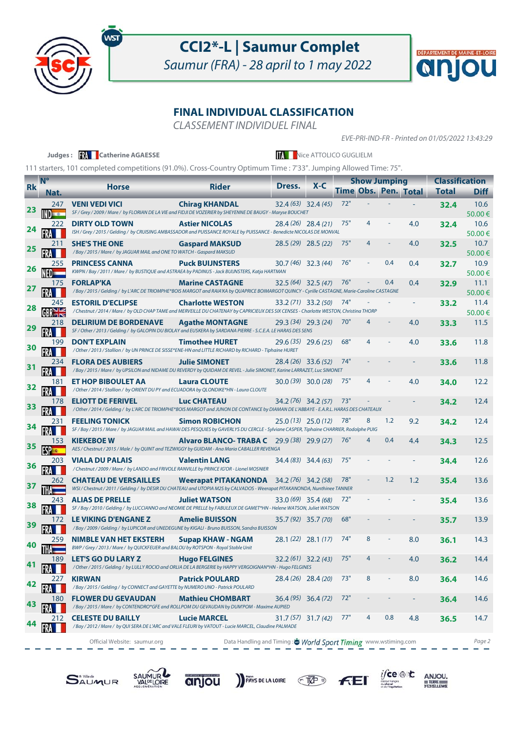

ws

## **CCI2\*-L | Saumur Complet**

Saumur (FRA) - 28 april to 1 may 2022



#### **FINAL INDIVIDUAL CLASSIFICATION**

CLASSEMENT INDIVIDUEL FINAL

EVE-PRI-IND-FR - Printed on 01/05/2022 13:43:29

|           |                        | Judges: <b>We Catherine AGAESSE</b>                                                                                                                                |                                                                |                      | <b>MAN</b> Nice ATTOLICO GUGLIELM |     |   |                             |     |                       |                |
|-----------|------------------------|--------------------------------------------------------------------------------------------------------------------------------------------------------------------|----------------------------------------------------------------|----------------------|-----------------------------------|-----|---|-----------------------------|-----|-----------------------|----------------|
|           |                        | 111 starters, 101 completed competitions (91.0%). Cross-Country Optimum Time : 7'33". Jumping Allowed Time: 75".                                                   |                                                                |                      |                                   |     |   |                             |     |                       |                |
| <b>Rk</b> | $N^{\circ}$            | <b>Horse</b>                                                                                                                                                       | <b>Rider</b>                                                   | Dress.               | $X - C$                           |     |   | <b>Show Jumping</b>         |     | <b>Classification</b> |                |
|           | Nat.                   |                                                                                                                                                                    |                                                                |                      |                                   |     |   | <b>Time Obs. Pen. Total</b> |     | <b>Total</b>          | <b>Diff</b>    |
| 23        | 247<br>$N_{\rm H}$ and | <b>VENI VEDI VICI</b><br>SF / Grey / 2009 / Mare / by FLORIAN DE LA VIE and FIDJI DE VOZERIER by SHEYENNE DE BAUGY - Maryse BOUCHET                                | <b>Chirag KHANDAL</b>                                          |                      | $32.4(63)$ $32.4(45)$             | 72" |   |                             |     | 32.4                  | 10.6<br>50.00€ |
| 24        | 222                    | <b>DIRTY OLD TOWN</b><br>ISH / Grey / 2015 / Gelding / by CRUISING AMBASSADOR and PUISSANCE ROYALE by PUISSANCE - Benedicte NICOLAS DE MONVAL                      | <b>Astier NICOLAS</b>                                          |                      | 28.4 (26) 28.4 (21)               | 75" | 4 |                             | 4.0 | 32.4                  | 10.6<br>50.00€ |
| 25        | 211                    | <b>SHE'S THE ONE</b><br>/ Bay / 2015 / Mare / by JAGUAR MAIL and ONE TO WATCH - Gaspard MAKSUD                                                                     | <b>Gaspard MAKSUD</b>                                          |                      | $28.5(29)$ 28.5 (22)              | 75" |   |                             | 4.0 | 32.5                  | 10.7<br>50.00€ |
| 26        | 255<br>NED             | <b>PRINCESS CANNA</b><br>KWPN / Bay / 2011 / Mare / by BUSTIQUE and ASTRAEA by PADINUS - Jack BUIJNSTERS, Katja HARTMAN                                            | <b>Puck BUIJNSTERS</b>                                         |                      | $30.7(46)$ 32.3 (44)              | 76" |   | 0.4                         | 0.4 | 32.7                  | 10.9<br>50.00€ |
|           | 175                    | <b>FORLAP'KA</b><br>/Bay/2015/Gelding/by L'ARC DE TRIOMPHE*BOIS MARGOT and RAIA'KA by QUAPRICE BOIMARGOT QUINCY - Cyrille CASTAGNE, Marie-Caroline CASTAGNE        | <b>Marine CASTAGNE</b>                                         |                      | $32.5(64)$ 32.5 (47)              | 76" |   | 0.4                         | 0.4 | 32.9                  | 11.1<br>50.00€ |
| 28        | 245                    | <b>ESTORIL D'ECLIPSE</b><br>/ Chestnut / 2014 / Mare / by OLD CHAP TAME and MERVEILLE DU CHATENAY by CAPRICIEUX DES SIX CENSES - Charlotte WESTON, Christina THORP | <b>Charlotte WESTON</b>                                        |                      | 33.2 (71) 33.2 (50)               | 74" |   |                             |     | 33.2                  | 11.4<br>50.00€ |
|           | 218                    | <b>DELIRIUM DE BORDENAVE</b><br>SF / Other / 2013 / Gelding / by GALOPIN DU BIOLAY and EUSKERA by SARDANA PIERRE - S.C.E.A. LE HARAS DES SENS                      | <b>Agathe MONTAGNE</b>                                         |                      | 29.3 (34) 29.3 (24)               | 70" | 4 |                             | 4.0 | 33.3                  | 11.5           |
| 30        | 199                    | <b>DON'T EXPLAIN</b><br>/ Other / 2013 / Stallion / by UN PRINCE DE SISSE*ENE-HN and LITTLE RICHARD by RICHARD - Tiphaine HURET                                    | <b>Timothee HURET</b>                                          | $29.6(35)$ 29.6 (25) |                                   | 68" | 4 |                             | 4.0 | 33.6                  | 11.8           |
|           | 234.                   | <b>FLORA DES AUBIERS</b><br>/ Bay / 2015 / Mare / by UPSILON and NIDAME DU REVERDY by QUIDAM DE REVEL - Julie SIMONET, Karine LARRAZET, Luc SIMONET                | <b>Julie SIMONET</b>                                           |                      | $28.4(26)$ 33.6 (52)              | 74" |   |                             |     | 33.6                  | 11.8           |
| 32        | 181.                   | <b>ET HOP BIBOULET AA</b><br>/Other/2014/Stallion/ by ORIENT DU PY and ECUADORA by QLONDIKE*HN - Laura CLOUTE                                                      | <b>Laura CLOUTE</b>                                            |                      | 30.0 (39) 30.0 (28)               | 75" | 4 |                             | 4.0 | 34.0                  | 12.2           |
| 33        | 178                    | <b>ELIOTT DE FERIVEL</b><br>/ Other / 2014 / Gelding / by L'ARC DE TRIOMPHE*BOIS MARGOT and JUNON DE CONTANCE by DIAMAN DE L'ABBAYE - E.A.R.L. HARAS DES CHATEAUX  | <b>Luc CHATEAU</b>                                             |                      | $34.2(76)$ $34.2(57)$             | 73" |   |                             |     | 34.2                  | 12.4           |
| 34        | 231                    | <b>FEELING TONICK</b><br>SF / Bay / 2015 / Mare / by JAGUAR MAIL and HAWAI DES PESQUIES by GAVERLYS DU CERCLE - Sylviane CASPER, Tiphaine CHARRIER, Rodolphe PUIG  | <b>Simon ROBICHON</b>                                          |                      | $25.0(13)$ $25.0(12)$             | 78" | 8 | 1.2                         | 9.2 | 34.2                  | 12.4           |
| 35        | 153                    | <b>KIEKEBOE W</b><br>AES / Chestnut / 2015 / Male / by QUINT and TEZWIGGY by GUIDAM - Ana Maria CABALLER REVENGA                                                   | <b>Alvaro BLANCO-TRABA C</b> 29.9 (38) 29.9 (27)               |                      |                                   | 76" | 4 | 0.4                         | 4.4 | 34.3                  | 12.5           |
| 36        | 203                    | <b>VIALA DU PALAIS</b><br>/ Chestnut / 2009 / Mare / by LANDO and FRIVOLE RANVILLE by PRINCE IG'OR - Lionel MOSNIER                                                | <b>Valentin LANG</b>                                           |                      | 34.4 (83) 34.4 (63)               | 75" |   |                             |     | 34.4                  | 12.6           |
|           | 262                    | <b>CHATEAU DE VERSAILLES</b><br>WSI / Chestnut / 2011 / Gelding / by DESIR DU CHATEAU and UTOPIA M2S by CALVADOS - Weerapat PITAKANONDA, Nunthinee TANNER          | <b>Weerapat PITAKANONDA</b> $34.2(76)$ $34.2(58)$              |                      |                                   | 78" |   | 1.2                         | 1.2 | 35.4                  | 13.6           |
|           | 243                    | <b>ALIAS DE PRELLE</b><br>SF / Bay / 2010 / Gelding / by LUCCIANNO and NEOMIE DE PRELLE by FABULEUX DE GAMET*HN - Helene WATSON, Juliet WATSON                     | <b>Juliet WATSON</b>                                           |                      | $33.0(69)$ 35.4 (68)              | 72" |   |                             |     | 35.4                  | 13.6           |
|           | 172                    | <b>LE VIKING D'ENGANE Z</b><br>/Bay / 2009 / Gelding / by LUPICOR and UNEDEGUNE by KIGALI - Bruno BUISSON, Sandra BUISSON                                          | <b>Amelie BUISSON</b>                                          | 35.7 (92) 35.7 (70)  |                                   | 68" |   |                             |     | 35.7                  | 13.9           |
| 40        | 259                    | <b>NIMBLE VAN HET EKSTERH</b><br>BWP / Grey / 2013 / Mare / by QUICKFEUER and BALOU by ROTSPON - Royal Stable Unit                                                 | <b>Supap KHAW - NGAM</b>                                       | 28.1 (22) 28.1 (17)  |                                   | 74" |   |                             | 8.0 | 36.1                  | 14.3           |
| 41        | 189                    | <b>LET'S GO DU LARY Z</b><br>/ Other / 2015 / Gelding / by LULLY ROCIO and ORLIA DE LA BERGERIE by HAPPY VERGOIGNAN*HN - Hugo FELGINES                             | <b>Hugo FELGINES</b>                                           |                      | $32.2(61)$ $32.2(43)$             | 75" |   |                             | 4.0 | 36.2                  | 14.4           |
| 42        | 227                    | <b>KIRWAN</b><br>/Bay / 2015 / Gelding / by CONNECT and GAYETTE by NUMERO UNO - Patrick POULARD                                                                    | <b>Patrick POULARD</b>                                         |                      | 28.4 (26) 28.4 (20)               | 73" | 8 | ÷                           | 8.0 | 36.4                  | 14.6           |
| 43        | 180                    | <b>FLOWER DU GEVAUDAN</b><br>/ Bay / 2015 / Mare / by CONTENDRO*GFE and ROLLPOM DU GEVAUDAN by DUM'POM - Maxime AUPIED                                             | Mathieu CHOMBART                                               |                      | $36.4(95)$ 36.4 (72)              | 72" |   |                             |     | 36.4                  | 14.6           |
|           | 212                    | <b>CELESTE DU BAILLY</b><br>/ Bay / 2012 / Mare / by QUI SERA DE L'ARC and VALE FLEURI by VATOUT - Lucie MARCEL, Claudine PALMADE                                  | <b>Lucie MARCEL</b>                                            |                      | $31.7(57)$ $31.7(42)$             | 77" | 4 | 0.8                         | 4.8 | 36.5                  | 14.7           |
|           |                        | Official Website: saumur.org                                                                                                                                       | Data Handling and Timing : World Sport Timing www.wstiming.com |                      |                                   |     |   |                             |     |                       | Page 2         |











 $\underset{\underbrace{\text{JFGC}}{\text{JFGC}}\left(\widehat{\oplus}\right)\uparrow\hspace{-2.1cm}\uparrow\hspace{-2.1cm}\uparrow\hspace{-2.1cm}\uparrow\hspace{-2.1cm}\text{and}\hspace{-2.1cm}\downarrow\hspace{-2.1cm}\text{and}\hspace{-2.1cm}\downarrow\hspace{-2.1cm}\downarrow\hspace{-2.1cm}\uparrow\hspace{-2.1cm}\uparrow\hspace{-2.1cm}\text{and}\hspace{-2.1cm}\downarrow\hspace{-2.1cm}\downarrow\hspace{-2.1cm}\downarrow\hspace{-2.1cm}\downarrow\hspace{-2.1cm}\downarrow\hspace{-2.1cm$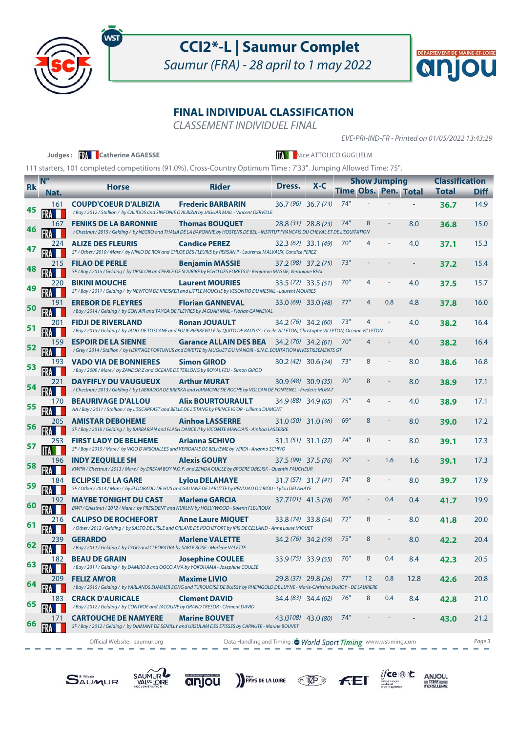

wsi

## **CCI2\*-L | Saumur Complet**

Saumur (FRA) - 28 april to 1 may 2022



### **FINAL INDIVIDUAL CLASSIFICATION**

CLASSEMENT INDIVIDUEL FINAL

EVE-PRI-IND-FR - Printed on 01/05/2022 13:43:29

 $\underset{\underbrace{\text{SINR}}}{\text{JICRE}}\begin{array}{ccc}\n\text{C} & \text{C} & \text{C} & \text{C} & \text{C} & \text{C} & \text{C} & \text{C} & \text{C} & \text{C} & \text{C} & \text{C} & \text{C} & \text{C} & \text{C} & \text{C} & \text{C} & \text{C} & \text{C} & \text{C} & \text{C} & \text{C} & \text{C} & \text{C} & \text{C} & \text{C} & \text{C} & \text{C} & \text{C} & \text{C} & \text{C} & \text{C}$ 

|           |                | Judges: <b>Will Catherine AGAESSE</b>                                                                                                                               |                                                               |        | <b>A Nice ATTOLICO GUGLIELM</b> |     |                     |                |                      |                       |             |
|-----------|----------------|---------------------------------------------------------------------------------------------------------------------------------------------------------------------|---------------------------------------------------------------|--------|---------------------------------|-----|---------------------|----------------|----------------------|-----------------------|-------------|
|           |                | 111 starters, 101 completed competitions (91.0%). Cross-Country Optimum Time : 7'33". Jumping Allowed Time: 75".                                                    |                                                               |        |                                 |     |                     |                |                      |                       |             |
|           | N <sup>o</sup> |                                                                                                                                                                     |                                                               |        |                                 |     | <b>Show Jumping</b> |                |                      | <b>Classification</b> |             |
| <b>Rk</b> | Nat.           | <b>Horse</b>                                                                                                                                                        | <b>Rider</b>                                                  | Dress. | $X - C$                         |     |                     |                | Time Obs. Pen. Total | <b>Total</b>          | <b>Diff</b> |
| 45        | 161            | <b>COUPD'COEUR D'ALBIZIA</b><br>/Bay / 2012 / Stallion / by CALIDOS and SINFONIE D'ALBIZIA by JAGUAR MAIL - Vincent DERVILLE                                        | <b>Frederic BARBARIN</b>                                      |        | $36.7(96)$ 36.7 (73)            | 74" |                     |                |                      | 36.7                  | 14.9        |
|           | 167            | <b>FENIKS DE LA BARONNIE</b><br>/ Chestnut / 2015 / Gelding / by NEGRO and THALIA DE LA BARONNIE by HOSTENS DE BEL - INSTITUT FRANCAIS DU CHEVAL ET DE L'EQUITATION | <b>Thomas BOUQUET</b>                                         |        | $28.8(31)$ $28.8(23)$           | 74" | 8                   |                | 8.0                  | 36.8                  | 15.0        |
|           | 224            | <b>ALIZE DES FLEURIS</b><br>SF / Other / 2010 / Mare / by NINIO DE ROX and CHLOE DES FLEURIS by PERSAN II - Laurence MALVAUX, Candice PEREZ                         | <b>Candice PEREZ</b>                                          |        | $32.3(62)$ 33.1 (49)            | 70" | 4                   |                | 4.0                  | 37.1                  | 15.3        |
| 48        | 215            | <b>FILAO DE PERLE</b><br>SF / Bay / 2015 / Gelding / by UPSILON and PERLE DE SOURIRE by ECHO DES FORETS II - Benjamin MASSIE, Veronique REAL                        | <b>Benjamin MASSIE</b>                                        |        | 37.2 (98) 37.2 (75)             | 73" |                     |                |                      | 37.2                  | 15.4        |
| 49        | 220            | <b>BIKINI MOUCHE</b><br>SF / Bay / 2011 / Gelding / by NEWTON DE KREISKER and LITTLE MOUCHE by VESONTIO DU MESNIL - Laurent MOURIES                                 | <b>Laurent MOURIES</b>                                        |        | $33.5(72)$ 33.5 (51)            | 70" | 4                   |                | 4.0                  | 37.5                  | 15.7        |
| 50        | 191            | <b>EREBOR DE FLEYRES</b><br>/Bay / 2014 / Gelding / by CON AIR and TAYGA DE FLEYRES by JAGUAR MAIL - Florian GANNEVAL                                               | <b>Florian GANNEVAL</b>                                       |        | $33.0(69)$ 33.0 (48)            | 77" | 4                   | 0.8            | 4.8                  | 37.8                  | 16.0        |
| 51        | 201            | <b>FIDJI DE RIVERLAND</b><br>/Bay/2015/Gelding/by JADIS DE TOSCANE and FOLIE PIERREVILLE by QUITO DE BAUSSY - Cecile VILLETON, Christophe VILLETON, Oceane VILLETON | <b>Ronan JOUAULT</b>                                          |        | 34.2 (76) 34.2 (60)             | 73" | 4                   |                | 4.0                  | 38.2                  | 16.4        |
| 52        | 159            | <b>ESPOIR DE LA SIENNE</b><br>/Grey/2014/Stallion/by HERITAGE FORTUNUS and DIVETTE by MUGUET DU MANOIR - S.N.C. EQUITATION INVESTISSEMENTS GT                       | <b>Garance ALLAIN DES BEA</b> 34.2 (76) 34.2 (61)             |        |                                 | 70" |                     |                | 4.0                  | 38.2                  | 16.4        |
| 53        | 193            | <b>VADO VIA DE BONNIERES</b><br>/Bay / 2009 / Mare / by ZANDOR Z and OCEANE DE TERLONG by ROYAL FEU - Simon GIROD                                                   | <b>Simon GIROD</b>                                            |        | $30.2(42)$ $30.6(34)$           | 73" | 8                   |                | 8.0                  | 38.6                  | 16.8        |
| 54        | 221            | <b>DAYFIFLY DU VAUGUEUX</b><br>/ Chestnut / 2013 / Gelding / by LABRADOR DE BREKKA and HARMONIE DE ROCHE by VOLCAN DE FONTENEL - Frederic MURAT                     | <b>Arthur MURAT</b>                                           |        | $30.9(48)$ 30.9 (35)            | 70" | 8                   |                | 8.0                  | 38.9                  | 17.1        |
| 55        |                | <b>BEAURIVAGE D'ALLOU</b><br>AA / Bay / 2011 / Stallion / by L'ESCARFAST and BELLE DE L'ETANG by PRINCE IG'OR - Lilliana DUMONT                                     | <b>Alix BOURTOURAULT</b>                                      |        | $34.9(88)$ 34.9 (65)            | 75" |                     |                | 4.0                  | 38.9                  | 17.1        |
| 56        | 205            | <b>AMISTAR DEBOHEME</b><br>SF / Bay / 2010 / Gelding / by BARBARIAN and FLASH DANCE II by VICOMTE MANCIAIS - Ainhoa LASSERRE                                        | <b>Ainhoa LASSERRE</b>                                        |        | $31.0(50)$ 31.0 (36)            | 69" | 8                   |                | 8.0                  | 39.0                  | 17.2        |
|           | 253            | <b>FIRST LADY DE BELHEME</b><br>SF / Bay / 2015 / Mare / by VIGO D'ARSOUILLES and VERIDAME DE BELHEME by VERDI - Arianna SCHIVO                                     | <b>Arianna SCHIVO</b>                                         |        | $31.1(51)$ $31.1(37)$           | 74" | 8                   |                | 8.0                  | 39.1                  | 17.3        |
| 58        | 196            | <b>INDY ZEQUILLE SH</b><br>KWPN / Chestnut / 2013 / Mare / by DREAM BOY N.O.P. and ZENDA QUILLE by BROERE OBELISK - Quentin FAUCHEUR                                | <b>Alexis GOURY</b>                                           |        | $37.5(99)$ $37.5(76)$           | 79" |                     | 1.6            | 1.6                  | 39.1                  | 17.3        |
| 59        | 184            | <b>ECLIPSE DE LA GARE</b><br>SF / Other / 2014 / Mare / by ELDORADO DE HUS and GALIANE DE LABUTTE by PENDJAD DU RIOU - Lylou DELAHAYE                               | <b>Lylou DELAHAYE</b>                                         |        | $31.7(57)$ $31.7(41)$           | 74" | 8                   | $\blacksquare$ | 8.0                  | 39.7                  | 17.9        |
|           | 192            | <b>MAYBE TONIGHT DU CAST</b><br>BWP / Chestnut / 2012 / Mare / by PRESIDENT and NURLYN by HOLLYWOOD - Solenn FLEUROUX                                               | <b>Marlene GARCIA</b>                                         |        | 37.7101) 41.3 (78)              | 76" |                     | 0.4            | 0.4                  | 41.7                  | 19.9        |
|           | 216            | <b>CALIPSO DE ROCHEFORT</b><br>/ Other / 2012 / Gelding / by SALTO DE L'ISLE and ORLANE DE ROCHEFORT by IRIS DE CELLAND - Anne Laure MIQUET                         | <b>Anne Laure MIQUET</b>                                      |        | 33.8 (74) 33.8 (54)             | 72" | 8                   |                | 8.0                  | 41.8                  | 20.0        |
| 62        | 239            | <b>GERARDO</b><br>/Bay / 2011 / Gelding / by TYGO and CLEOPATRA by SABLE ROSE - Marlene VALETTE                                                                     | <b>Marlene VALETTE</b>                                        |        | $34.2(76)$ 34.2 (59)            | 75" | 8                   |                | 8.0                  | 42.2                  | 20.4        |
| 63        | 182            | <b>BEAU DE GRAIN</b><br>/Bay/2011/Gelding/ by DAMIRO B and QOCO AMA by YOKOHAMA - Josephine COULEE                                                                  | <b>Josephine COULEE</b>                                       |        | $33.9(75)$ $33.9(55)$           | 76" | 8                   | 0.4            | 8.4                  | 42.3                  | 20.5        |
| 64        | <b>209</b>     | <b>FELIZ AM'OR</b><br>/Bay/2015/Gelding/by YARLANDS SUMMER SONG and TURQUOISE DE BUISSY by RHEINGOLD DE LUYNE - Marie-Christine DUROY - DE LAURIERE                 | <b>Maxime LIVIO</b>                                           |        | 29.8 (37) 29.8 (26)             | 77" | $12 \overline{ }$   | 0.8            | 12.8                 | 42.6                  | 20.8        |
| 65        | 183            | <b>CRACK D'AURICALE</b><br>/Bay / 2012 / Gelding / by CONTROE and JACOLINE by GRAND TRESOR - Clement DAVID                                                          | <b>Clement DAVID</b>                                          |        | $34.4(83)$ 34.4 (62)            | 76" | 8                   | 0.4            | 8.4                  | 42.8                  | 21.0        |
| 66        | 171            | <b>CARTOUCHE DE NAMYERE</b><br>SF / Bay / 2012 / Gelding / by DIAMANT DE SEMILLY and URSULAM DES ETISSES by CARNUTE - Marine BOUVET                                 | <b>Marine BOUVET</b>                                          |        | 43.0108) 43.0 (80)              | 74" |                     |                |                      | 43.0                  | 21.2        |
|           |                | Official Website: saumur.org                                                                                                                                        | Data Handling and Timing: World Sport Timing www.wstiming.com |        |                                 |     |                     |                |                      |                       | Page 3      |

**PAYS DE LA LOIRE** TOP FE





anjou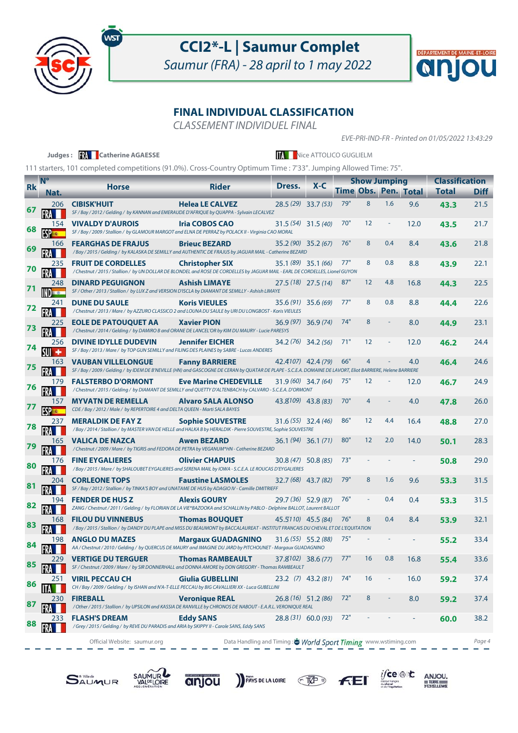

ws

## **CCI2\*-L | Saumur Complet**

Saumur (FRA) - 28 april to 1 may 2022



#### **FINAL INDIVIDUAL CLASSIFICATION**

 $\sim$ 

CLASSEMENT INDIVIDUEL FINAL

EVE-PRI-IND-FR - Printed on 01/05/2022 13:43:29

|            |                     | Judges: <b>W</b> Catherine AGAESSE                                                                                                                                                        |                                                               |        | <b>A Nice ATTOLICO GUGLIELM</b> |     |                     |     |                             |                       |             |
|------------|---------------------|-------------------------------------------------------------------------------------------------------------------------------------------------------------------------------------------|---------------------------------------------------------------|--------|---------------------------------|-----|---------------------|-----|-----------------------------|-----------------------|-------------|
|            |                     | 111 starters, 101 completed competitions (91.0%). Cross-Country Optimum Time : 7'33". Jumping Allowed Time: 75".                                                                          |                                                               |        |                                 |     |                     |     |                             |                       |             |
|            | $N^{\circ}$         |                                                                                                                                                                                           |                                                               | Dress. | $X - C$                         |     | <b>Show Jumping</b> |     |                             | <b>Classification</b> |             |
| <b>Rk</b>  | Nat.                | <b>Horse</b>                                                                                                                                                                              | <b>Rider</b>                                                  |        |                                 |     |                     |     | <b>Time Obs. Pen. Total</b> | <b>Total</b>          | <b>Diff</b> |
|            | 206                 | <b>CIBISK'HUIT</b><br>SF / Bay / 2012 / Gelding / by KANNAN and EMERAUDE D'AFRIQUE by QUAPPA - Sylvain LECALVEZ                                                                           | <b>Helea LE CALVEZ</b>                                        |        | $28.5(29)$ 33.7 (53)            | 79" | 8                   | 1.6 | 9.6                         | 43.3                  | 21.5        |
| 68         | 154                 | <b>VIVALDY D'AUROIS</b><br>SF / Bay / 2009 / Stallion / by GLAMOUR MARGOT and ELNA DE PERRAZ by POLACK II - Virginia CAO MORAL                                                            | <b>Iria COBOS CAO</b>                                         |        | $31.5(54)$ $31.5(40)$           | 70" | 12                  | ÷   | 12.0                        | 43.5                  | 21.7        |
|            | 166                 | <b>FEARGHAS DE FRAJUS</b><br>/Bay / 2015 / Gelding / by KALASKA DE SEMILLY and AUTHENTIC DE FRAJUS by JAGUAR MAIL - Catherine BEZARD                                                      | <b>Brieuc BEZARD</b>                                          |        | 35.2 (90) 35.2 (67)             | 76" | 8                   | 0.4 | 8.4                         | 43.6                  | 21.8        |
|            | 235<br>FRA          | <b>FRUIT DE CORDELLES</b><br>/ Chestnut / 2015 / Stallion / by UN DOLLAR DE BLONDEL and ROSE DE CORDELLES by JAGUAR MAIL - EARL DE CORDELLES, Lionel GUYON                                | <b>Christopher SIX</b>                                        |        | $35.1(89)$ $35.1(66)$           | 77" | 8                   | 0.8 | 8.8                         | 43.9                  | 22.1        |
|            | 248<br><b>INDEE</b> | <b>DINARD PEGUIGNON</b><br>SF / Other / 2013 / Stallion / by LUX Z and VERSION D'ISCLA by DIAMANT DE SEMILLY - Ashish LIMAYE                                                              | <b>Ashish LIMAYE</b>                                          |        | $27.5(18)$ 27.5 (14)            | 87" | 12                  | 4.8 | 16.8                        | 44.3                  | 22.5        |
| 72         | 241                 | <b>DUNE DU SAULE</b><br>/ Chestnut / 2013 / Mare / by AZZURO CLASSICO 2 and LOUNA DU SAULE by URI DU LONGBOST - Koris VIEULES                                                             | <b>Koris VIEULES</b>                                          |        | $35.6(91)$ 35.6 (69)            | 77" | 8                   | 0.8 | 8.8                         | 44.4                  | 22.6        |
| 73         | 225                 | <b>EOLE DE PATOUQUET AA</b><br>/ Chestnut / 2014 / Gelding / by DAMIRO B and ORANE DE LANCEL'OR by KIM DU MAURY - Lucie PARESYS                                                           | <b>Xavier PION</b>                                            |        | $36.9(97)$ $36.9(74)$           | 74" | 8                   |     | 8.0                         | 44.9                  | 23.1        |
| 74         | 256<br>$SUI +$      | <b>DIVINE IDYLLE DUDEVIN</b><br>SF / Bay / 2013 / Mare / by TOP GUN SEMILLY and FILING DES PLAINES by SABRE - Lucas ANDERES                                                               | <b>Jennifer EICHER</b>                                        |        | $34.2(76)$ 34.2 (56)            | 71" | 12                  |     | 12.0                        | 46.2                  | 24.4        |
| 75         | 163                 | <b>VAUBAN VILLELONGUE</b><br>SF / Bay / 2009 / Gelding / by IDEM DE B'NEVILLE (HN) and GASCOGNE DE CERAN by QUATAR DE PLAPE - S.C.E.A. DOMAINE DE LAVORT, Eliot BARRIERE, Helene BARRIERE | <b>Fanny BARRIERE</b>                                         |        | 42.4107) 42.4 (79)              | 66" | 4                   |     | 4.0                         | 46.4                  | 24.6        |
| $\sqrt{6}$ | 179                 | <b>FALSTERBO D'ORMONT</b><br>/ Chestnut / 2015 / Gelding / by DIAMANT DE SEMILLY and QUETTY D'ALTENBACH by CALVARO - S.C.E.A. D'ORMONT                                                    | <b>Eve Marine CHEDEVILLE</b>                                  |        | $31.9(60)$ 34.7 (64)            | 75" | 12                  |     | 12.0                        | 46.7                  | 24.9        |
|            | 157                 | <b>MYVATN DE REMELLA</b><br>CDE / Bay / 2012 / Male / by REPERTOIRE 4 and DELTA QUEEN - Marti SALA BAYES                                                                                  | <b>Alvaro SALA ALONSO</b>                                     |        | 43.8109) 43.8 (83)              | 70" | 4                   |     | 4.0                         | 47.8                  | 26.0        |
| 78         | 237                 | <b>MERALDIK DE FAY Z</b><br>/ Bay / 2014 / Stallion / by MASTER VAN DE HELLE and HALKA B by HERALDIK - Pierre SOUVESTRE, Sophie SOUVESTRE                                                 | <b>Sophie SOUVESTRE</b>                                       |        | $31.6(55)$ 32.4 (46)            | 86" | 12                  | 4.4 | 16.4                        | 48.8                  | 27.0        |
|            | 165<br>FRA          | VALICA DE NAZCA<br>/Chestnut / 2009 / Mare / by TIGRIS and FEDORA DE PETRA by VEGANUM*HN - Catherine BEZARD                                                                               | <b>Awen BEZARD</b>                                            |        | $36.1(94)$ $36.1(71)$           | 80" | 12                  | 2.0 | 14.0                        | 50.1                  | 28.3        |
| 80         | 176                 | <b>FINE EYGALIERES</b><br>/ Bay / 2015 / Mare / by SHALOUBET EYGALIERES and SERENA MAIL by IOWA - S.C.E.A. LE ROUCAS D'EYGALIERES                                                         | <b>Olivier CHAPUIS</b>                                        |        | $30.8(47)$ 50.8 (85)            | 73" |                     |     |                             | 50.8                  | 29.0        |
|            | 204                 | <b>CORLEONE TOPS</b><br>SF / Bay / 2012 / Stallion / by TINKA'S BOY and UNATAME DE HUS by ADAGIO IV - Camille DMITRIEFF                                                                   | <b>Faustine LASMOLES</b>                                      |        | 32.7 (68) 43.7 (82)             | 79" | 8                   | 1.6 | 9.6                         | 53.3                  | 31.5        |
| 82         | 194                 | <b>FENDER DE HUS Z</b><br>ZANG / Chestnut / 2011 / Gelding / by FLORIAN DE LA VIE*BAZOOKA and SCHALLIN by PABLO - Delphine BALLOT, Laurent BALLOT                                         | <b>Alexis GOURY</b>                                           |        | $29.7(36)$ 52.9 (87)            | 76" |                     | 0.4 | 0.4                         | 53.3                  | 31.5        |
|            | 168                 | <b>FILOU DU VINNEBUS</b><br>/Bay/2015/Stallion/ by DANDY DU PLAPE and MISS DU BEAUMONT by BACCALAUREAT - INSTITUT FRANCAIS DU CHEVAL ET DE L'EQUITATION                                   | <b>Thomas BOUQUET</b>                                         |        | 45.5110) 45.5 (84)              | 76" | 8                   | 0.4 | 8.4                         | 53.9                  | 32.1        |
| 84         | 198                 | <b>ANGLO DU MAZES</b><br>AA / Chestnut / 2010 / Gelding / by QUERCUS DE MAURY and IMAGINE DU JARD by PITCHOUNET - Margaux GUADAGNINO                                                      | <b>Margaux GUADAGNINO</b>                                     |        | 31.6 (55) 55.2 (88)             | 75" |                     |     |                             | 55.2                  | 33.4        |
| 85         | 229                 | <b>VERTIGE DU TERGUER</b><br>SF / Chestnut / 2009 / Mare / by SIR DONNERHALL and DONNA AMORE by DON GREGORY - Thomas RAMBEAULT                                                            | <b>Thomas RAMBEAULT</b>                                       |        | 37.8102) 38.6 (77)              | 77" | 16                  | 0.8 | 16.8                        | 55.4                  | 33.6        |
| 86         | 251                 | <b>VIRIL PECCAU CH</b><br>CH / Bay / 2009 / Gelding / by ISHAN and N'A-T-ELLE PECCAU by BIG CAVALLIERI XX - Luca GUBELLINI                                                                | <b>Giulia GUBELLINI</b>                                       |        | $23.2$ (7) $43.2$ (81)          | 74" | 16                  | Ξ   | 16.0                        | 59.2                  | 37.4        |
| 87         | 230                 | <b>FIREBALL</b><br>/ Other / 2015 / Stallion / by UPSILON and KASSIA DE RANVILLE by CHRONOS DE NABOUT - E.A.R.L. VERONIQUE REAL                                                           | <b>Veronique REAL</b>                                         |        | $26.8(16)$ 51.2 (86)            | 72" | 8                   |     | 8.0                         | 59.2                  | 37.4        |
| 88         | 233                 | <b>FLASH'S DREAM</b><br>/Grey / 2015 / Gelding / by REVE DU PARADIS and ARIA by SKIPPY II - Carole SANS, Eddy SANS                                                                        | <b>Eddy SANS</b>                                              |        | $28.8(31)$ 60.0 (93)            | 72" |                     |     |                             | 60.0                  | 38.2        |
|            |                     | Official Website: saumur.org                                                                                                                                                              | Data Handling and Timing: World Sport Timing www.wstiming.com |        |                                 |     |                     |     |                             |                       | Page 4      |











 $\iint_{\mathbb{R}^n} c e \otimes \mathbb{R}$ 

 $\underset{\text{D'EXGLLENCE}}{\text{ANJOU}}$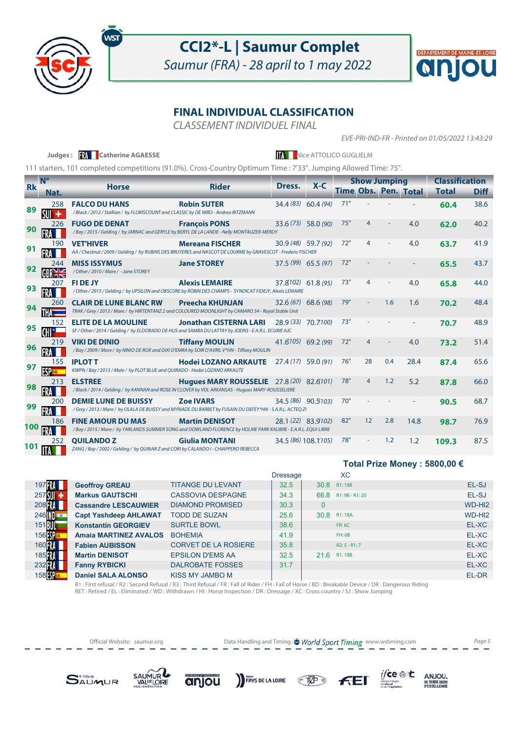

### **CCI2\*-L | Saumur Complet**

Saumur (FRA) - 28 april to 1 may 2022



### **FINAL INDIVIDUAL CLASSIFICATION**

CLASSEMENT INDIVIDUEL FINAL

EVE-PRI-IND-FR - Printed on 01/05/2022 13:43:29

|           |                   | Judges: <b>Will</b> Catherine AGAESSE                                                                                                   |                                                 |                     | Nice ATTOLICO GUGLIELM |     |                     |     |                             |                                       |             |
|-----------|-------------------|-----------------------------------------------------------------------------------------------------------------------------------------|-------------------------------------------------|---------------------|------------------------|-----|---------------------|-----|-----------------------------|---------------------------------------|-------------|
|           |                   | 111 starters, 101 completed competitions (91.0%). Cross-Country Optimum Time: 7'33". Jumping Allowed Time: 75".                         |                                                 |                     |                        |     |                     |     |                             |                                       |             |
| <b>Rk</b> | <b>N°</b><br>Nat. | <b>Horse</b>                                                                                                                            | <b>Rider</b>                                    | Dress.              | $X-C$                  |     | <b>Show Jumping</b> |     | <b>Time Obs. Pen. Total</b> | <b>Classification</b><br><b>Total</b> | <b>Diff</b> |
| 89        | 258<br>$SU +$     | <b>FALCO DU HANS</b><br>/Black / 2012 / Stallion / by FLORISCOUNT and CLASSIC by DE NIRO - Andrea RITZMANN                              | <b>Robin SUTER</b>                              |                     | 34.4 (83) 60.4 (94)    | 71" |                     |     |                             | 60.4                                  | 38.6        |
| 90        | 226               | <b>FUGO DE DENAT</b><br>/Bay/2015/Gelding/by JARNAC and GERYLE by BERYL DE LA LANDE - Nelly MONTAUZER-MERDY                             | <b>François PONS</b>                            | 33.6 (73) 58.0 (90) |                        | 75" |                     |     | 4.0                         | 62.0                                  | 40.2        |
| 91        | 190               | <b>VET'HIVER</b><br>AA / Chestnut / 2009 / Gelding / by RUBINS DES BRUYERES and NASCOT DE LOURME by GRAVESCOT - Frederic FISCHER        | <b>Mereana FISCHER</b>                          |                     | 30.9 (48) 59.7 (92)    | 72" | 4                   |     | 4.0                         | 63.7                                  | 41.9        |
| 92        | 244               | <b>MISS ISSYMUS</b><br>/Other/2010/Mare/ - Jane STOREY                                                                                  | <b>Jane STOREY</b>                              |                     | $37.5(99)$ 65.5 (97)   | 72" |                     |     |                             | 65.5                                  | 43.7        |
| 93        | 207               | <b>FIDEJY</b><br>/ Other / 2015 / Gelding / by UPSILON and OBSCURE by ROBIN DES CHAMPS - SYNDICAT FIDEJY, Alexis LEMAIRE                | <b>Alexis LEMAIRE</b>                           | 37.8102) 61.8 (95)  |                        | 73" | 4                   |     | 4.0                         | 65.8                                  | 44.0        |
| 94        | 260               | <b>CLAIR DE LUNE BLANC RW</b><br>TRAK / Grey / 2013 / Mare / by HIRTENTANZ 2 and COLOURED MOONLIGHT by CAMARO 54 - Royal Stable Unit    | <b>Preecha KHUNJAN</b>                          |                     | $32.6(67)$ 68.6 (98)   | 79" |                     | 1.6 | 1.6                         | 70.2                                  | 48.4        |
| 95        | 152               | <b>ELITE DE LA MOULINE</b><br>SF / Other / 2014 / Gelding / by ELDORADO DE HUS and SAMBA DU LATTAY by JOERIS - E.A.R.L. ECURIE AJC      | <b>Jonathan CISTERNA LARI</b>                   | 28.9 (33) 70.7100)  |                        | 73" |                     |     |                             | 70.7                                  | 48.9        |
| 96        | 219               | <b>VIKI DE DINIO</b><br>/ Bay / 2009 / Mare / by NINIO DE ROX and DIXI D'EMRA by SOIR D'AVRIL V*HN - Tiffany MOULIN                     | <b>Tiffany MOULIN</b>                           | $41.6105$ 69.2 (99) |                        | 72" | 4                   |     | 4.0                         | 73.2                                  | 51.4        |
| 97        | 155<br><b>ESP</b> | <b>IPLOT T</b><br>KWPN / Bay / 2013 / Male / by PLOT BLUE and QUIRADO - Hodei LOZANO ARKAUTE                                            | <b>Hodei LOZANO ARKAUTE</b> 27.4 (17) 59.0 (91) |                     |                        | 76" | 28                  | 0.4 | 28.4                        | 87.4                                  | 65.6        |
| 98        | 213               | <b>ELSTREE</b><br>/Black / 2014 / Gelding / by KANNAN and ROSE IN CLOVER by VDL ARKANSAS - Hugues MARY-ROUSSELIERE                      | <b>Hugues MARY ROUSSELIE</b> 27.8 (20) 82.6101) |                     |                        | 78" | $\overline{4}$      | 1.2 | 5.2                         | 87.8                                  | 66.0        |
| 99        | 200               | <b>DEMIE LUNE DE BUISSY</b><br>/Grey / 2013 / Mare / by OLALA DE BUISSY and MYRIADE DU BARBET by FUSAIN DU DEFEY*HN - S.A.R.L. ACTEQ ZI | <b>Zoe IVARS</b>                                |                     | 34.5 (86) 90.5103)     | 70" |                     |     |                             | 90.5                                  | 68.7        |
| 100       | 186               | <b>FINE AMOUR DU MAS</b><br>/Bay/2015/Mare/ by YARLANDS SUMMER SONG and DOWLAND FLORENCE by HOLME PARK KALIBRE - E.A.R.L. EQUI-LIBRE    | <b>Martin DENISOT</b>                           | 28.1 (22) 83.9102)  |                        | 82" | 12                  | 2.8 | 14.8                        | 98.7                                  | 76.9        |
| 101       | 252               | <b>OUILANDOZ</b><br>ZANG / Bay / 2002 / Gelding / by QUINAR Z and CORI by CALANDO I - CHIAPPERO REBECCA                                 | <b>Giulia MONTANI</b>                           |                     | 34.5 (86) 108.1'105)   | 78" |                     | 1.2 | 1.2                         | 109.3                                 | 87.5        |



|                      |                              |                             |                 |              |                      | Total Prize Money : 5800,00 € |
|----------------------|------------------------------|-----------------------------|-----------------|--------------|----------------------|-------------------------------|
|                      |                              |                             | <b>Dressage</b> |              | <b>XC</b>            |                               |
| 197 R.               | <b>Geoffroy GREAU</b>        | <b>TITANGE DU LEVANT</b>    | 32.5            |              | 30.8 R1:18B          | EL-SJ                         |
| $257$ $\blacksquare$ | <b>Markus GAUTSCHI</b>       | <b>CASSOVIA DESPAGNE</b>    | 34.3            | 66.8         | R1: 9B - R1: 20      | EL-SJ                         |
| 208 R.               | <b>Cassandre LESCAUWIER</b>  | <b>DIAMOND PROMISED</b>     | 30.3            | $\mathbf{0}$ |                      | WD-HI <sub>2</sub>            |
| 246 <b>ID</b>        | <b>Capt Yashdeep AHLAWAT</b> | <b>TODD DE SUZAN</b>        | 25.6            | 308          | R <sub>1</sub> : 18A | WD-HI <sub>2</sub>            |
| 151肌                 | <b>Konstantin GEORGIEV</b>   | <b>SURTLE BOWL</b>          | 38.6            |              | <b>FR: 6C</b>        | EL-XC                         |
| 156 <sup>1</sup>     | <b>Amaia MARTINEZ AVALOS</b> | <b>BOHEMIA</b>              | 41.9            |              | FH:6B                | EL-XC                         |
| 160                  | <b>Fabien AUBISSON</b>       | <b>CORVET DE LA ROSIERE</b> | 35.8            |              | $R2: 5 - R1: 7$      | EL-XC                         |
| 185 FRA              | <b>Martin DENISOT</b>        | <b>EPSILON D'EMS AA</b>     | 32.5            |              | 21.6 R1:18B          | EL-XC                         |
| 232 <b>FRA</b>       | <b>Fanny RYBICKI</b>         | <b>DALROBATE FOSSES</b>     | 31.7            |              |                      | EL-XC                         |
| 158 <sup>9</sup>     | <b>Daniel SALA ALONSO</b>    | <b>KISS MY JAMBO M</b>      |                 |              |                      | EL-DR                         |

R1 : First refusal / R2 : Second Refusal / R3 : Third Refusal / FR : Fall of Rider / FH : Fall of Horse / BD : Breakable Device / DR : Dangerous Riding<br>RET : Retired / EL : Eliminated / WD : Withdrawn / HI : Horse Inspecti

Official Website: saumur.org **Data Handling and Timing : World Sport Timing** www.wstiming.com Page 5

 $C\overline{W}$ 

 $i$ /ce  $\circledast$  to

institut français<br>du cheval<br>et de l'équitatio

 $\underset{\substack{\text{D}{\text{ERRE}}\\ \text{D}{\text{EXCELLINE}}}}{\text{AP}}$